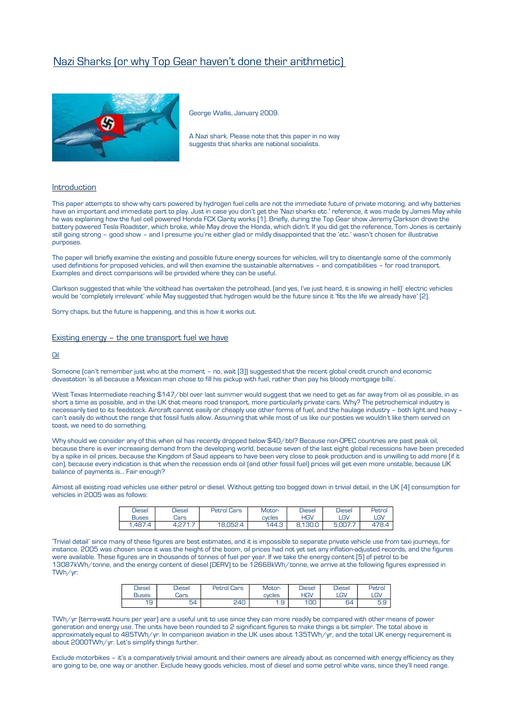

George Wallis, January 2009.

A Nazi shark. Please note that this paper in no way suggests that sharks are national socialists.

# Introduction

This paper attempts to show why cars powered by hydrogen fuel cells are not the immediate future of private motoring, and why batteries have an important and immediate part to play. Just in case you don't get the 'Nazi sharks etc.' reference, it was made by James May while he was explaining how the fuel cell powered Honda FCX Clarity works [1]. Briefly, during the Top Gear show Jeremy Clarkson drove the battery powered Tesla Roadster, which broke, while May drove the Honda, which didn't. If you did get the reference, Tom Jones is certainly still going strong – good show – and I presume you're either glad or mildly disappointed that the 'etc.' wasn't chosen for illustrative purposes.

The paper will briefly examine the existing and possible future energy sources for vehicles, will try to disentangle some of the commonly used definitions for proposed vehicles, and will then examine the sustainable alternatives – and compatibilities – for road transport. Examples and direct comparisons will be provided where they can be useful.

Clarkson suggested that while 'the volthead has overtaken the petrolhead, (and yes, I've just heard, it is snowing in hell)' electric vehicles would be 'completely irrelevant' while May suggested that hydrogen would be the future since it 'fits the life we already have' [2].

Sorry chaps, but the future is happening, and this is how it works out.

# Existing energy – the one transport fuel we have

### Oil

Someone (can't remember just who at the moment – no, wait [3]) suggested that the recent global credit crunch and economic devastation 'is all because a Mexican man chose to fill his pickup with fuel, rather than pay his bloody mortgage bills'.

West Texas Intermediate reaching \$147/bbl over last summer would suggest that we need to get as far away from oil as possible, in as short a time as possible, and in the UK that means road transport, more particularly private cars. Why? The petrochemical industry is necessarily tied to its feedstock. Aircraft cannot easily or cheaply use other forms of fuel, and the haulage industry – both light and heavy – can't easily do without the range that fossil fuels allow. Assuming that while most of us like our posties we wouldn't like them served on toast, we need to do something.

Why should we consider any of this when oil has recently dropped below \$40/bbl? Because non-OPEC countries are past peak oil, because there is ever increasing demand from the developing world, because seven of the last eight global recessions have been preceded by a spike in oil prices, because the Kingdom of Saud appears to have been very close to peak production and is unwilling to add more (if it can), because every indication is that when the recession ends oil (and other fossil fuel) prices will get even more unstable, because UK balance of payments is… Fair enough?

Almost all existing road vehicles use either petrol or diesel. Without getting too bogged down in trivial detail, in the UK [4] consumption for vehicles in 2005 was as follows:

| <b>Diesel</b> | <b>Diesel</b>  | Petrol Cars | Motor- | <b>Diesel</b> | <b>Diesel</b> | Petrol |
|---------------|----------------|-------------|--------|---------------|---------------|--------|
| Buses         | Jars           |             | cycles | HGV           | LGV           | LGV    |
| 1,487.5       | 1071<br>.<br>. | 18.052.4    | 144.3  | ח בי 1<br>◠   | 5.007.,<br>ᄃ  | 478.4  |

'Trivial detail' since many of these figures are best estimates, and it is impossible to separate private vehicle use from taxi journeys, for instance. 2005 was chosen since it was the height of the boom, oil prices had not yet set any inflation-adjusted records, and the figures were available. These figures are in thousands of tonnes of fuel per year. If we take the energy content [5] of petrol to be 13087kWh/tonne, and the energy content of diesel (DERV) to be 12668kWh/tonne, we arrive at the following figures expressed in TWh/yr:

| <b>Diesel</b>       | <b>Diesel</b> | <b>Petrol Cars</b> | Motor-       | <b>Diesel</b> | <b>Diesel</b> | Petrol    |
|---------------------|---------------|--------------------|--------------|---------------|---------------|-----------|
| Buses               | Jars          |                    | cycles       | -IGV          | LGV           | LGV       |
| 1 <sub>Q</sub><br>- | 54            | 240                | $\Box$<br>ت. | 100           | R4<br>◡─      | EΩ<br>b.Y |

TWh/yr (terra-watt hours per year) are a useful unit to use since they can more readily be compared with other means of power generation and energy use. The units have been rounded to 2 significant figures to make things a bit simpler. The total above is approximately equal to 485TWh/yr. In comparison aviation in the UK uses about 135TWh/yr, and the total UK energy requirement is about 2000TWh/yr. Let's simplify things further.

Exclude motorbikes – it's a comparatively trivial amount and their owners are already about as concerned with energy efficiency as they are going to be, one way or another. Exclude heavy goods vehicles, most of diesel and some petrol white vans, since they'll need range.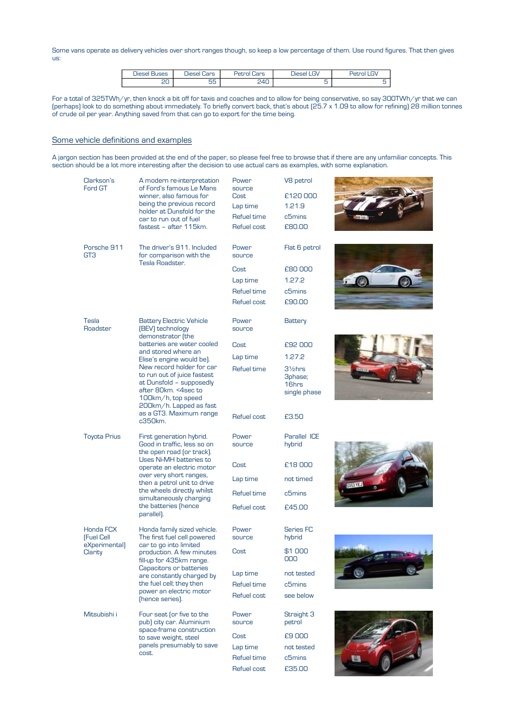Some vans operate as delivery vehicles over short ranges though, so keep a low percentage of them. Use round figures. That then gives us:

| $\sim$<br>$H = 5$<br>-- | -<br>APC<br><b>JIPS</b> | n n r<br>$-1$                | $\mathbf{u}$ |  |
|-------------------------|-------------------------|------------------------------|--------------|--|
| ∼                       | --<br>∽<br>ںں           | $\overline{A}$<br>╌<br>- - - |              |  |

For a total of 325TWh/yr, then knock a bit off for taxis and coaches and to allow for being conservative, so say 300TWh/yr that we can (perhaps) look to do something about immediately. To briefly convert back, that's about (25.7 x 1.09 to allow for refining) 28 million tonnes of crude oil per year. Anything saved from that can go to export for the time being.

# Some vehicle definitions and examples

A jargon section has been provided at the end of the paper, so please feel free to browse that if there are any unfamiliar concepts. This section should be a lot more interesting after the decision to use actual cars as examples, with some explanation.

| Clarkson's<br>Ford GT                    | A modern re-interpretation<br>of Ford's famous Le Mans<br>winner, also famous for<br>being the previous record<br>holder at Dunsfold for the<br>car to run out of fuel<br>fastest - after 115km. | Power<br>source<br>Cost<br>Lap time<br>Refuel time<br>Refuel cost | V8 petrol<br>£120000<br>1.21.9<br>c5mins<br>£80.00 |  |
|------------------------------------------|--------------------------------------------------------------------------------------------------------------------------------------------------------------------------------------------------|-------------------------------------------------------------------|----------------------------------------------------|--|
| Porsche 911<br>GT <sub>3</sub>           | The driver's 911. Included<br>for comparison with the                                                                                                                                            | Power<br>source                                                   | Flat 6 petrol                                      |  |
|                                          | Tesla Roadster.                                                                                                                                                                                  | Cost                                                              | £80000                                             |  |
|                                          |                                                                                                                                                                                                  | Lap time                                                          | 1.27.2                                             |  |
|                                          |                                                                                                                                                                                                  | Refuel time                                                       | c5mins                                             |  |
|                                          |                                                                                                                                                                                                  | Refuel cost                                                       | £90.00                                             |  |
| Tesla<br>Roadster                        | <b>Battery Electric Vehicle</b><br>(BEV) technology<br>demonstrator (the                                                                                                                         | Power<br>source                                                   | <b>Battery</b>                                     |  |
|                                          | batteries are water cooled                                                                                                                                                                       | Cost                                                              | £92 000                                            |  |
|                                          | and stored where an<br>Elise's engine would be).                                                                                                                                                 | Lap time                                                          | 1.27.2                                             |  |
|                                          | New record holder for car<br>to run out of juice fastest<br>at Dunsfold - supposedly<br>after 80km. <4sec to<br>100km/h, top speed<br>200km/h. Lapped as fast                                    | Refuel time                                                       | $32$ hrs<br>3phase;<br>16hrs<br>single phase       |  |
|                                          | as a GT3. Maximum range<br>c350km.                                                                                                                                                               | Refuel cost                                                       | £3.50                                              |  |
| <b>Toyota Prius</b>                      | First generation hybrid.<br>Good in traffic, less so on<br>the open road (or track).                                                                                                             | Power<br>source                                                   | Parallel ICE<br>hybrid                             |  |
|                                          | Uses Ni-MH batteries to<br>operate an electric motor                                                                                                                                             | Cost                                                              | £18000                                             |  |
|                                          | over very short ranges,<br>then a petrol unit to drive                                                                                                                                           | Lap time                                                          | not timed                                          |  |
|                                          | the wheels directly whilst<br>simultaneously charging                                                                                                                                            | Refuel time                                                       | c5mins                                             |  |
|                                          | the batteries (hence<br>parallel).                                                                                                                                                               | Refuel cost                                                       | £45.00                                             |  |
| Honda FCX<br>[Fuel Cell<br>eXperimental) | Honda family sized vehicle.<br>The first fuel cell powered<br>car to go into limited                                                                                                             | Power<br>source                                                   | <b>Series FC</b><br>hybrid                         |  |
| Clarity                                  | production. A few minutes<br>fill-up for 435km range.                                                                                                                                            | Cost                                                              | \$1 000<br>000                                     |  |
|                                          | Capacitors or batteries<br>are constantly charged by                                                                                                                                             | Lap time                                                          | not tested                                         |  |
|                                          | the fuel cell; they then                                                                                                                                                                         | Refuel time                                                       | c5mins                                             |  |
|                                          | power an electric motor<br>(hence series).                                                                                                                                                       | Refuel cost                                                       | see below                                          |  |
| Mitsubishi i                             | Four seat (or five to the<br>pub) city car. Aluminium<br>space-frame construction                                                                                                                | Power<br>source                                                   | Straight 3<br>petrol                               |  |
|                                          | to save weight, steel                                                                                                                                                                            | Cost                                                              | £9 000                                             |  |
|                                          | panels presumably to save<br>cost.                                                                                                                                                               | Lap time                                                          | not tested                                         |  |
|                                          |                                                                                                                                                                                                  | Refuel time                                                       | c5mins                                             |  |
|                                          |                                                                                                                                                                                                  | Refuel cost                                                       | £35.00                                             |  |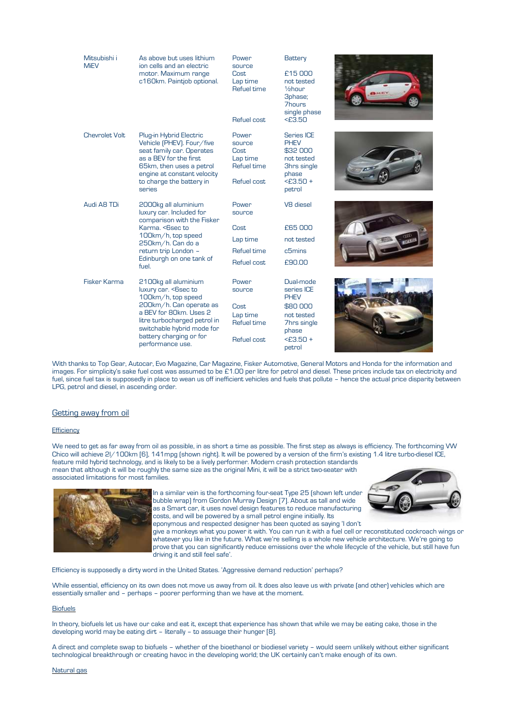| Mitsubishi i<br><b>MiEV</b> | As above but uses lithium<br>ion cells and an electric<br>motor. Maximum range<br>c160km. Paintjob optional.                                                                                                                          | Power<br>source<br>Cost<br>Lap time<br>Refuel time<br>Refuel cost | Battery<br>£15,000<br>not tested<br>$1$ / <sub>2</sub> hour<br>3phase;<br><b>7hours</b><br>single phase<br>$<$ £3.50 | <b>BALLEY</b> |
|-----------------------------|---------------------------------------------------------------------------------------------------------------------------------------------------------------------------------------------------------------------------------------|-------------------------------------------------------------------|----------------------------------------------------------------------------------------------------------------------|---------------|
| <b>Chevrolet Volt</b>       | Plug-in Hybrid Electric<br>Vehicle (PHEV). Four/five<br>seat family car. Operates<br>as a BEV for the first<br>65km, then uses a petrol<br>engine at constant velocity<br>to charge the battery in<br>series                          | Power<br>source<br>Cost<br>Lap time<br>Refuel time<br>Refuel cost | <b>Series ICE</b><br><b>PHEV</b><br>\$32 000<br>not tested<br>3hrs single<br>phase<br>$<$ £3.50 +<br>petrol          |               |
| Audi A8 TDi                 | 2000kg all aluminium<br>luxury car. Included for<br>comparison with the Fisker<br>Karma, <bsec to<br="">100km/h, top speed<br/>250km/h. Can do a<br/>return trip London -<br/>Edinburgh on one tank of<br/>fuel.</bsec>               | Power<br>source<br>Cost<br>Lap time<br>Refuel time<br>Refuel cost | V8 diesel<br>£65,000<br>not tested<br>c5mins<br>£90.00                                                               |               |
| Fisker Karma                | 2100kg all aluminium<br>luxury car. < Ssec to<br>100km/h, top speed<br>200km/h. Can operate as<br>a BEV for 80km, Uses 2<br>litre turbocharged petrol in<br>switchable hybrid mode for<br>battery charging or for<br>performance use. | Power<br>source<br>Cost<br>Lap time<br>Refuel time<br>Refuel cost | Dual-mode<br>series ICE<br><b>PHEV</b><br>\$80 000<br>not tested<br>7hrs single<br>phase<br>$<$ £3.50 +<br>petrol    |               |

With thanks to Top Gear, Autocar, Evo Magazine, Car Magazine, Fisker Automotive, General Motors and Honda for the information and images. For simplicity's sake fuel cost was assumed to be £1.00 per litre for petrol and diesel. These prices include tax on electricity and fuel, since fuel tax is supposedly in place to wean us off inefficient vehicles and fuels that pollute – hence the actual price disparity between LPG, petrol and diesel, in ascending order.

# Getting away from oil

#### **Efficiency**

We need to get as far away from oil as possible, in as short a time as possible. The first step as always is efficiency. The forthcoming VW Chico will achieve 2l/100km [6], 141mpg (shown right). It will be powered by a version of the firm's existing 1.4 litre turbo-diesel ICE, feature mild hybrid technology, and is likely to be a lively performer. Modern crash protection standards mean that although it will be roughly the same size as the original Mini, it will be a strict two-seater with associated limitations for most families.



In a similar vein is the forthcoming four-seat Type 25 (shown left under bubble wrap) from Gordon Murray Design [7]. About as tall and wide as a Smart car, it uses novel design features to reduce manufacturing costs, and will be powered by a small petrol engine initially. Its eponymous and respected designer has been quoted as saying 'I don't



give a monkeys what you power it with. You can run it with a fuel cell or reconstituted cockroach wings or whatever you like in the future. What we're selling is a whole new vehicle architecture. We're going to prove that you can significantly reduce emissions over the whole lifecycle of the vehicle, but still have fun driving it and still feel safe'.

Efficiency is supposedly a dirty word in the United States. 'Aggressive demand reduction' perhaps?

While essential, efficiency on its own does not move us away from oil. It does also leave us with private (and other) vehicles which are essentially smaller and – perhaps – poorer performing than we have at the moment.

#### **Biofuels**

In theory, biofuels let us have our cake and eat it, except that experience has shown that while we may be eating cake, those in the developing world may be eating dirt – literally – to assuage their hunger [8].

A direct and complete swap to biofuels – whether of the bioethanol or biodiesel variety – would seem unlikely without either significant technological breakthrough or creating havoc in the developing world; the UK certainly can't make enough of its own.

# Natural gas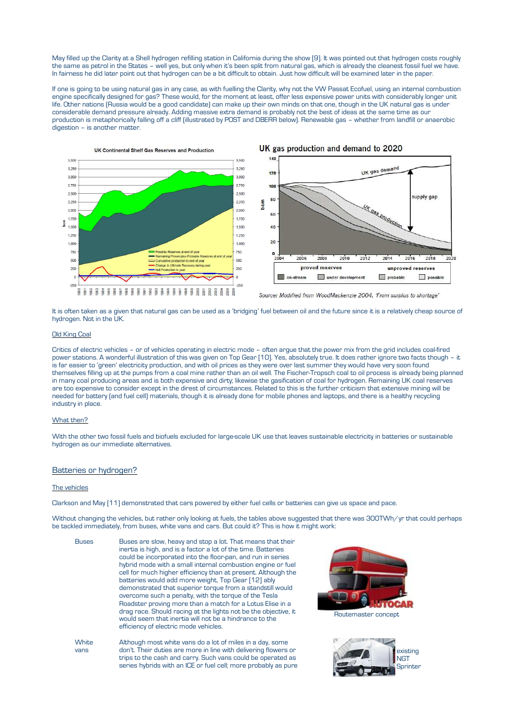May filled up the Clarity at a Shell hydrogen refilling station in California during the show [9]. It was pointed out that hydrogen costs roughly the same as petrol in the States – well yes, but only when it's been split from natural gas, which is already the cleanest fossil fuel we have. In fairness he did later point out that hydrogen can be a bit difficult to obtain. Just how difficult will be examined later in the paper.

If one is going to be using natural gas in any case, as with fuelling the Clarity, why not the VW Passat Ecofuel, using an internal combustion engine specifically designed for gas? These would, for the moment at least, offer less expensive power units with considerably longer unit life. Other nations (Russia would be a good candidate) can make up their own minds on that one, though in the UK natural gas is under considerable demand pressure already. Adding massive extra demand is probably not the best of ideas at the same time as our production is metaphorically falling off a cliff (illustrated by POST and DBERR below). Renewable gas – whether from landfill or anaerobic digestion – is another matter.







Source: Modified from WoodMackenzie 2004, 'From surplus to shortage'

It is often taken as a given that natural gas can be used as a 'bridging' fuel between oil and the future since it is a relatively cheap source of hydrogen. Not in the UK.

### **Old King Coal**

Critics of electric vehicles – or of vehicles operating in electric mode – often argue that the power mix from the grid includes coal-fired power stations. A wonderful illustration of this was given on Top Gear [10]. Yes, absolutely true. It does rather ignore two facts though – it is far easier to 'green' electricity production, and with oil prices as they were over last summer they would have very soon found themselves filling up at the pumps from a coal mine rather than an oil well. The Fischer-Tropsch coal to oil process is already being planned in many coal producing areas and is both expensive and dirty; likewise the gasification of coal for hydrogen. Remaining UK coal reserves are too expensive to consider except in the direst of circumstances. Related to this is the further criticism that extensive mining will be needed for battery (and fuel cell) materials, though it is already done for mobile phones and laptops, and there is a healthy recycling industry in place.

#### What then?

With the other two fossil fuels and biofuels excluded for large-scale UK use that leaves sustainable electricity in batteries or sustainable hydrogen as our immediate alternatives.

#### Batteries or hydrogen?

#### The vehicles

Clarkson and May [11] demonstrated that cars powered by either fuel cells or batteries can give us space and pace.

Without changing the vehicles, but rather only looking at fuels, the tables above suggested that there was 300TWh/yr that could perhaps be tackled immediately, from buses, white vans and cars. But could it? This is how it might work:

Buses Buses are slow, heavy and stop a lot. That means that their inertia is high, and is a factor a lot of the time. Batteries could be incorporated into the floor-pan, and run in series hybrid mode with a small internal combustion engine or fuel cell for much higher efficiency than at present. Although the batteries would add more weight, Top Gear [12] ably demonstrated that superior torque from a standstill would overcome such a penalty, with the torque of the Tesla Roadster proving more than a match for a Lotus Elise in a drag race. Should racing at the lights not be the objective, it would seem that inertia will not be a hindrance to the efficiency of electric mode vehicles.

**White** vans Although most white vans do a lot of miles in a day, some don't. Their duties are more in line with delivering flowers or trips to the cash and carry. Such vans could be operated as series hybrids with an ICE or fuel cell; more probably as pure



existing **NGT** Sprinter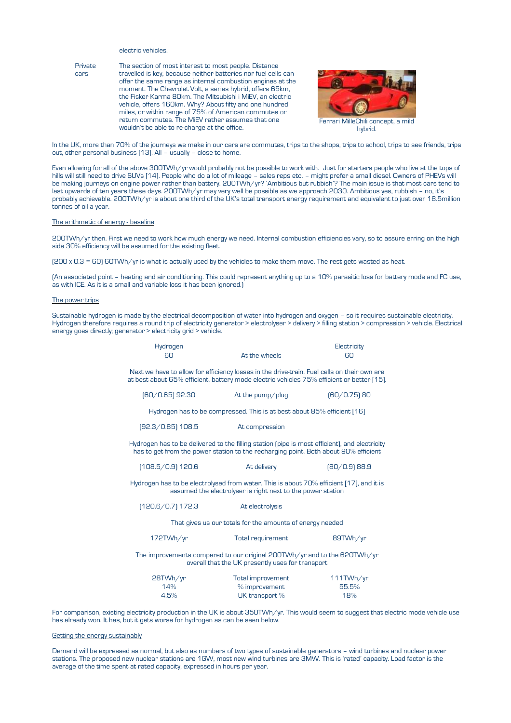## electric vehicles.

Private cars The section of most interest to most people. Distance travelled is key, because neither batteries nor fuel cells can offer the same range as internal combustion engines at the moment. The Chevrolet Volt, a series hybrid, offers 65km, the Fisker Karma 80km. The Mitsubishi i MiEV, an electric vehicle, offers 160km. Why? About fifty and one hundred miles, or within range of 75% of American commutes or return commutes. The MiEV rather assumes that one wouldn't be able to re-charge at the office.



In the UK, more than 70% of the journeys we make in our cars are commutes, trips to the shops, trips to school, trips to see friends, trips out, other personal business [13]. All – usually – close to home.

Even allowing for all of the above 300TWh/yr would probably not be possible to work with. Just for starters people who live at the tops of hills will still need to drive SUVs [14]. People who do a lot of mileage – sales reps etc. – might prefer a small diesel. Owners of PHEVs will be making journeys on engine power rather than battery. 200TWh/yr? 'Ambitious but rubbish'? The main issue is that most cars tend to last upwards of ten years these days. 200TWh/yr may very well be possible as we approach 2030. Ambitious yes, rubbish – no, it's probably achievable. 200TWh/yr is about one third of the UK's total transport energy requirement and equivalent to just over 18.5million tonnes of oil a year.

## The arithmetic of energy - baseline

200TWh/yr then. First we need to work how much energy we need. Internal combustion efficiencies vary, so to assure erring on the high side 30% efficiency will be assumed for the existing fleet.

(200 x 0.3 = 60) 60TWh/yr is what is actually used by the vehicles to make them move. The rest gets wasted as heat.

(An associated point – heating and air conditioning. This could represent anything up to a 10% parasitic loss for battery mode and FC use, as with ICE. As it is a small and variable loss it has been ignored.)

#### The power trips

Sustainable hydrogen is made by the electrical decomposition of water into hydrogen and oxygen – so it requires sustainable electricity. Hydrogen therefore requires a round trip of electricity generator > electrolyser > delivery > filling station > compression > vehicle. Electrical energy goes directly; generator > electricity grid > vehicle.

| Hydrogen<br>60      | At the wheels                                                                                                                                                                            |                 |  |
|---------------------|------------------------------------------------------------------------------------------------------------------------------------------------------------------------------------------|-----------------|--|
|                     | Next we have to allow for efficiency losses in the drive-train. Fuel cells on their own are<br>at best about 65% efficient, battery mode electric vehicles 75% efficient or better [15]. |                 |  |
| $[60/0.65]$ 92.30   | At the pump/plug                                                                                                                                                                         | $[60/0.75]$ 80  |  |
|                     | Hydrogen has to be compressed. This is at best about 85% efficient [16]                                                                                                                  |                 |  |
| $[92.3/0.85]$ 108.5 | At compression                                                                                                                                                                           |                 |  |
|                     | Hydrogen has to be delivered to the filling station (pipe is most efficient), and electricity<br>has to get from the power station to the recharging point. Both about 90% efficient     |                 |  |
| $(108.5/0.9)$ 120.6 | At delivery                                                                                                                                                                              | $[80/0.9]$ 88.9 |  |
|                     | Hydrogen has to be electrolysed from water. This is about 70% efficient [17], and it is<br>assumed the electrolyser is right next to the power station                                   |                 |  |
| $(120.6/0.7)$ 172.3 | At electrolysis                                                                                                                                                                          |                 |  |
|                     | That gives us our totals for the amounts of energy needed                                                                                                                                |                 |  |
| 172TWh/yr           | Total requirement                                                                                                                                                                        | 89TWh/yr        |  |
|                     | The improvements compared to our original 200TWh/yr and to the 620TWh/yr<br>overall that the UK presently uses for transport                                                             |                 |  |
| 28TWh/yr            | <b>Total improvement</b>                                                                                                                                                                 | 111TWh/yr       |  |

14% % improvement 55.5% 4.5% UK transport % 18%

For comparison, existing electricity production in the UK is about 350TWh/yr. This would seem to suggest that electric mode vehicle use has already won. It has, but it gets worse for hydrogen as can be seen below.

### Getting the energy sustainably

Demand will be expressed as normal, but also as numbers of two types of sustainable generators – wind turbines and nuclear power stations. The proposed new nuclear stations are 1GW, most new wind turbines are 3MW. This is 'rated' capacity. Load factor is the average of the time spent at rated capacity, expressed in hours per year.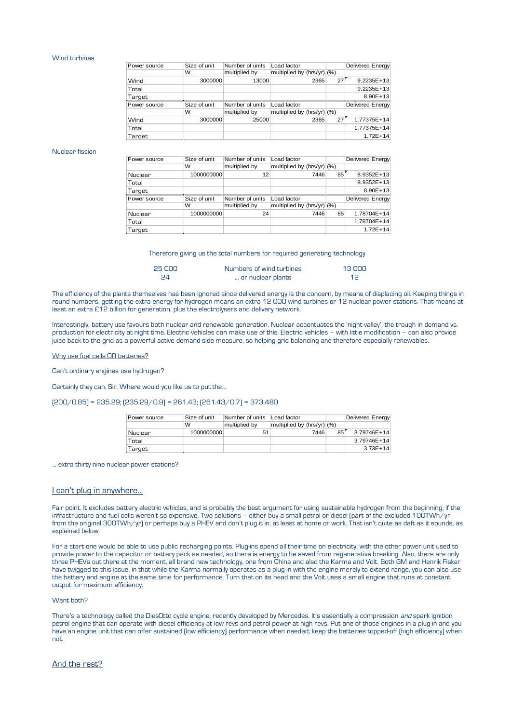#### Wind turbines

| Power source | Size of unit | Number of units | Load factor                  |      |    | <b>Delivered Energy</b> |
|--------------|--------------|-----------------|------------------------------|------|----|-------------------------|
|              | w            | multiplied by   | multiplied by $(hrs/yr)/(%)$ |      |    |                         |
| Wind         | 3000000      | 13000           |                              | 2365 | 27 | $9.2235E + 13$          |
| Total        |              |                 |                              |      |    | $9.2235E + 13$          |
|              |              |                 |                              |      |    | $8.90E + 13$            |
| Target       |              |                 |                              |      |    |                         |
| Power source | Size of unit | Number of units | Load factor                  |      |    | <b>Delivered Energy</b> |
|              | w            | multiplied by   | multiplied by $(hrs/yr)/(%)$ |      |    |                         |
| Wind         | 3000000      | 25000           |                              | 2365 | 27 | 1.77375E+14             |
| Total        |              |                 |                              |      |    | 1.77375E+14             |

#### Nuclear fission

| Power source | Size of unit | Number of units | Load factor                  |    | Delivered Energy |
|--------------|--------------|-----------------|------------------------------|----|------------------|
|              | W            | multiplied by   | multiplied by (hrs/yr) (%)   |    |                  |
| Nuclear      | 1000000000   | 12              | 7446                         | 85 | 8.9352E+13       |
| Total        |              |                 |                              |    | 8.9352E+13       |
| Target       |              |                 |                              |    | $8.90E + 13$     |
| Power source | Size of unit | Number of units | Load factor                  |    | Delivered Energy |
|              | W            | multiplied by   | multiplied by $(hrs/yr)/(%)$ |    |                  |
| Nuclear      | 1000000000   | 24              | 7446                         | 85 | 1.78704E+14      |
| Total        |              |                 |                              |    | 1.78704E+14      |
| Target       |              |                 |                              |    | $1.72E + 14$     |

Therefore giving us the total numbers for required generating technology

| 25 000 | Numbers of wind turbines | 13 DOO |
|--------|--------------------------|--------|
| 24     | or nuclear plants        | 12     |

The efficiency of the plants themselves has been ignored since delivered energy is the concern, by means of displacing oil. Keeping things in round numbers, getting the extra energy for hydrogen means an extra 12 000 wind turbines or 12 nuclear power stations. That means at least an extra £12 billion for generation, plus the electrolysers and delivery network.

Interestingly, battery use favours both nuclear and renewable generation. Nuclear accentuates the 'night valley', the trough in demand vs. production for electricity at night time. Electric vehicles can make use of this. Electric vehicles – with little modification – can also provide juice back to the grid as a powerful active demand-side measure, so helping grid balancing and therefore especially renewables.

# Why use fuel cells OR batteries?

Can't ordinary engines use hydrogen?

Certainly they can, Sir. Where would you like us to put the…

 $(200/0.85) = 235.29; (235.29/0.9) = 261.43; (261.43/0.7) = 373.480$ 

| Power source | Size of unit | Number of units | Load factor                |    | Delivered Energy |
|--------------|--------------|-----------------|----------------------------|----|------------------|
|              | w            | multiplied by   | multiplied by (hrs/yr) (%) |    |                  |
| Nuclear      | 1000000000   |                 | 7446                       | 85 | 3.79746E+14      |
| Total        |              |                 |                            |    | $3.79746E+14$    |
| Target       |              |                 |                            |    | $3.73E + 14$     |

… extra thirty nine nuclear power stations?

### I can't plug in anywhere…

Fair point. It excludes battery electric vehicles, and is probably the best argument for using sustainable hydrogen from the beginning, if the infrastructure and fuel cells weren't so expensive. Two solutions – either buy a small petrol or diesel (part of the excluded 100TWh/yr from the original 300TWh/yr) or perhaps buy a PHEV and don't plug it in, at least at home or work. That isn't quite as daft as it sounds, as explained below.

For a start one would be able to use public recharging points. Plug-ins spend all their time on electricity, with the other power unit used to provide power to the capacitor or battery pack as needed, so there is energy to be saved from regenerative breaking. Also, there are only three PHEVs out there at the moment, all brand new technology, one from China and also the Karma and Volt. Both GM and Henrik Fisker have twigged to this issue, in that while the Karma normally operates as a plug-in with the engine merely to extend range, you can also use the battery and engine at the same time for performance. Turn that on its head and the Volt uses a small engine that runs at constant output for maximum efficiency.

### Want both?

There's a technology called the DiesOtto cycle engine, recently developed by Mercedes. It's essentially a compression and spark ignition petrol engine that can operate with diesel efficiency at low revs and petrol power at high revs. Put one of those engines in a plug-in and you have an engine unit that can offer sustained (low efficiency) performance when needed; keep the batteries topped-off (high efficiency) when not.

# And the rest?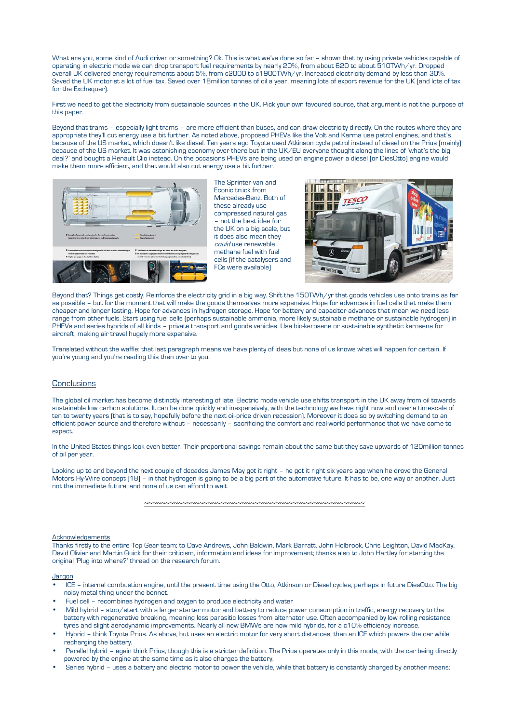What are you, some kind of Audi driver or something? Ok. This is what we've done so far – shown that by using private vehicles capable of operating in electric mode we can drop transport fuel requirements by nearly 20%, from about 620 to about 510TWh/yr. Dropped overall UK delivered energy requirements about 5%, from c2000 to c1900TWh/yr. Increased electricity demand by less than 30%. Saved the UK motorist a lot of fuel tax. Saved over 18million tonnes of oil a year, meaning lots of export revenue for the UK (and lots of tax for the Exchequer).

First we need to get the electricity from sustainable sources in the UK. Pick your own favoured source, that argument is not the purpose of this paper.

Beyond that trams – especially light trams – are more efficient than buses, and can draw electricity directly. On the routes where they are appropriate they'll cut energy use a bit further. As noted above, proposed PHEVs like the Volt and Karma use petrol engines, and that's because of the US market, which doesn't like diesel. Ten years ago Toyota used Atkinson cycle petrol instead of diesel on the Prius (mainly) because of the US market. It was astonishing economy over there but in the UK/EU everyone thought along the lines of 'what's the big deal?' and bought a Renault Clio instead. On the occasions PHEVs are being used on engine power a diesel (or DiesOtto) engine would make them more efficient, and that would also cut energy use a bit further.



The Sprinter van and Econic truck from Mercedes-Benz. Both of these already use compressed natural gas – not the best idea for the UK on a big scale, but it does also mean they could use renewable methane fuel with fuel cells (if the catalysers and FCs were available)



Beyond that? Things get costly. Reinforce the electricity grid in a big way. Shift the 150TWh/yr that goods vehicles use onto trains as far as possible – but for the moment that will make the goods themselves more expensive. Hope for advances in fuel cells that make them cheaper and longer lasting. Hope for advances in hydrogen storage. Hope for battery and capacitor advances that mean we need less range from other fuels. Start using fuel cells (perhaps sustainable ammonia, more likely sustainable methane or sustainable hydrogen) in PHEVs and series hybrids of all kinds – private transport and goods vehicles. Use bio-kerosene or sustainable synthetic kerosene for aircraft, making air travel hugely more expensive.

Translated without the waffle: that last paragraph means we have plenty of ideas but none of us knows what will happen for certain. If you're young and you're reading this then over to you.

# **Conclusions**

The global oil market has become distinctly interesting of late. Electric mode vehicle use shifts transport in the UK away from oil towards sustainable low carbon solutions. It can be done quickly and inexpensively, with the technology we have right now and over a timescale of ten to twenty years (that is to say, hopefully before the next oil-price driven recession). Moreover it does so by switching demand to an efficient power source and therefore without – necessarily – sacrificing the comfort and real-world performance that we have come to expect.

In the United States things look even better. Their proportional savings remain about the same but they save upwards of 120million tonnes of oil per year.

Looking up to and beyond the next couple of decades James May got it right – he got it right six years ago when he drove the General Motors Hy-Wire concept [18] – in that hydrogen is going to be a big part of the automotive future. It has to be, one way or another. Just not the immediate future, and none of us can afford to wait.

~~~~~~~~~~~~~~~~~~~~~~~~~~~~~~~~~~~~~~~~~~~~~~~~~~~~

# Acknowledgements

Thanks firstly to the entire Top Gear team; to Dave Andrews, John Baldwin, Mark Barratt, John Holbrook, Chris Leighton, David MacKay, David Olivier and Martin Quick for their criticism, information and ideas for improvement; thanks also to John Hartley for starting the original 'Plug into where?' thread on the research forum.

### **Jargon**

- ICE internal combustion engine, until the present time using the Otto, Atkinson or Diesel cycles, perhaps in future DiesOtto. The big noisy metal thing under the bonnet.
- Fuel cell recombines hydrogen and oxygen to produce electricity and water
- Mild hybrid stop/start with a larger starter motor and battery to reduce power consumption in traffic, energy recovery to the battery with regenerative breaking, meaning less parasitic losses from alternator use. Often accompanied by low rolling resistance tyres and slight aerodynamic improvements. Nearly all new BMWs are now mild hybrids, for a c10% efficiency increase.
- Hybrid think Toyota Prius. As above, but uses an electric motor for very short distances, then an ICE which powers the car while recharging the battery.
- Parallel hybrid again think Prius, though this is a stricter definition. The Prius operates only in this mode, with the car being directly powered by the engine at the same time as it also charges the battery.
- Series hybrid uses a battery and electric motor to power the vehicle, while that battery is constantly charged by another means;